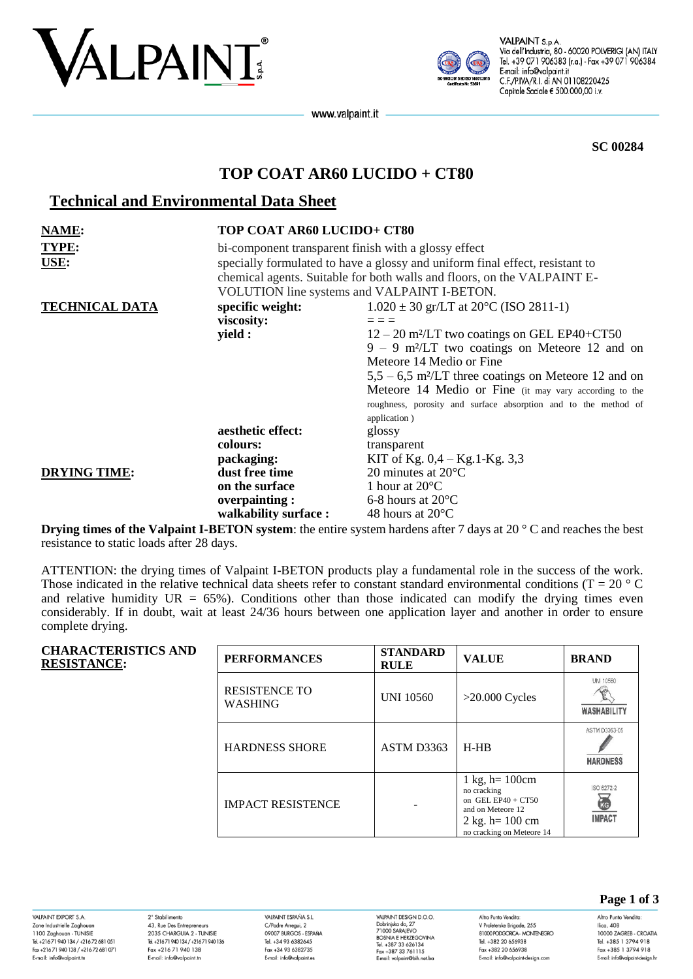



VALPAINT S.p.A. Via dell'Industria, 80 - 60020 POLVERIGI (AN) ITALY Tel. +39 071 906383 (r.a.) - Fax +39 071 906384 E-mail: info@valpaint.it C.F./P.IVA/R.I. di AN 01108220425 Capitale Sociale € 500.000,00 i.v.

www.valpaint.it

**SC 00284**

# **TOP COAT AR60 LUCIDO + CT80**

# **Technical and Environmental Data Sheet**

| NAME:                 | TOP COAT AR60 LUCIDO+ CT80                                                                                                                                                                                                                                     |                                                                    |  |
|-----------------------|----------------------------------------------------------------------------------------------------------------------------------------------------------------------------------------------------------------------------------------------------------------|--------------------------------------------------------------------|--|
| <b>TYPE:</b><br>USE:  | bi-component transparent finish with a glossy effect<br>specially formulated to have a glossy and uniform final effect, resistant to<br>chemical agents. Suitable for both walls and floors, on the VALPAINT E-<br>VOLUTION line systems and VALPAINT I-BETON. |                                                                    |  |
| <b>TECHNICAL DATA</b> | specific weight:                                                                                                                                                                                                                                               | $1.020 \pm 30$ gr/LT at 20 <sup>o</sup> C (ISO 2811-1)             |  |
|                       | viscosity:                                                                                                                                                                                                                                                     |                                                                    |  |
|                       | yield :                                                                                                                                                                                                                                                        | $12 - 20$ m <sup>2</sup> /LT two coatings on GEL EP40+CT50         |  |
|                       |                                                                                                                                                                                                                                                                | $9 - 9$ m <sup>2</sup> /LT two coatings on Meteore 12 and on       |  |
|                       |                                                                                                                                                                                                                                                                | Meteore 14 Medio or Fine                                           |  |
|                       |                                                                                                                                                                                                                                                                | $5.5 - 6.5$ m <sup>2</sup> /LT three coatings on Meteore 12 and on |  |
|                       |                                                                                                                                                                                                                                                                | Meteore 14 Medio or Fine (it may vary according to the             |  |
|                       |                                                                                                                                                                                                                                                                | roughness, porosity and surface absorption and to the method of    |  |
|                       |                                                                                                                                                                                                                                                                | application)                                                       |  |
|                       | aesthetic effect:                                                                                                                                                                                                                                              | glossy                                                             |  |
|                       | colours:                                                                                                                                                                                                                                                       | transparent                                                        |  |
|                       | packaging:                                                                                                                                                                                                                                                     | KIT of Kg. $0,4 - Kg.1-Kg. 3,3$                                    |  |
| <b>DRYING TIME:</b>   | dust free time                                                                                                                                                                                                                                                 | 20 minutes at $20^{\circ}$ C                                       |  |
|                       | on the surface                                                                                                                                                                                                                                                 | 1 hour at $20^{\circ}$ C                                           |  |
|                       | overpainting:                                                                                                                                                                                                                                                  | 6-8 hours at $20^{\circ}$ C                                        |  |
|                       | walkability surface:                                                                                                                                                                                                                                           | 48 hours at $20^{\circ}$ C                                         |  |

**Drying times of the Valpaint I-BETON system**: the entire system hardens after 7 days at 20 ° C and reaches the best resistance to static loads after 28 days.

ATTENTION: the drying times of Valpaint I-BETON products play a fundamental role in the success of the work. Those indicated in the relative technical data sheets refer to constant standard environmental conditions ( $T = 20$  ° C and relative humidity  $UR = 65\%$ ). Conditions other than those indicated can modify the drying times even considerably. If in doubt, wait at least 24/36 hours between one application layer and another in order to ensure complete drying.

| <b>CHARACTERISTICS AND</b><br><b>RESISTANCE:</b> | <b>PERFORMANCES</b>                    | <b>STANDARD</b><br><b>RULE</b> | <b>VALUE</b>                                                                                                                                             | <b>BRAND</b>                                           |
|--------------------------------------------------|----------------------------------------|--------------------------------|----------------------------------------------------------------------------------------------------------------------------------------------------------|--------------------------------------------------------|
|                                                  | <b>RESISTENCE TO</b><br><b>WASHING</b> | <b>UNI 10560</b>               | $>20.000$ Cycles                                                                                                                                         | UNI 10560<br>WASHABILITY                               |
|                                                  | <b>HARDNESS SHORE</b>                  | ASTM D3363                     | $H-HB$                                                                                                                                                   | ASTM D3363-05<br><b>HARDNESS</b>                       |
|                                                  | <b>IMPACT RESISTENCE</b>               |                                | $1 \text{ kg}, h = 100 \text{cm}$<br>no cracking<br>on GEL EP40 + $CT50$<br>and on Meteore 12<br>$2 \text{ kg}$ . h= 100 cm<br>no cracking on Meteore 14 | ISO 6272-2<br>$\sum_{k\in\mathbb{Z}}$<br><b>IMPACT</b> |

VAI PAINT FYPORT S.A. Zone Industrielle Zaghoua 1100 Zaghouan - TUNISIE<br>Tel. +216 71 940 134 / +216 72 681 051 Fax +216 71 940 138 / +216 72 681 071 E-mail: info@valpaint.tn

2° Stabilimento 43, Rue Des Entrepreneurs 2035 CHARGUIA 2 - TUNISIE Tel. +21671 940 134 / +21671 940 136 Fax +216 71 940 138 E-mail: info@valpaint.tn

VAIRAINT ESPAÑA S I C/Padre Arregui, 2 09007 BURGOS - ESPAÑA Tel. +34 93 6382645 Fax +34 93 6382735 E-mail: info@valpaint.es

VAI PAINT DESIGN D O O VALPAINT DESIGN D.O.O.<br>Dobrinjska do, 27<br>71000 SARAJEVO<br>BOSNIA E HERZEGOVINA Tel. +387 33 626134 Fax +387 33 761115 E-mail: valpaint@bih.net.bo Altro Punto Vendita V Proleterske Brigade, 255 **RIOO BODGORCA - MONTENEGRO** Tel. +382 20 656938 Fax +382 20 656938 E-mail: info@valpaint-design.com

**Page 1 of 3**

Altro Punto Vendita: Ilica, 408 10000 ZAGREB - CROATIA Tel. +385 1 3794 918 Fax +385 1 3794 918 E-mail: info@valpaint-desian.hr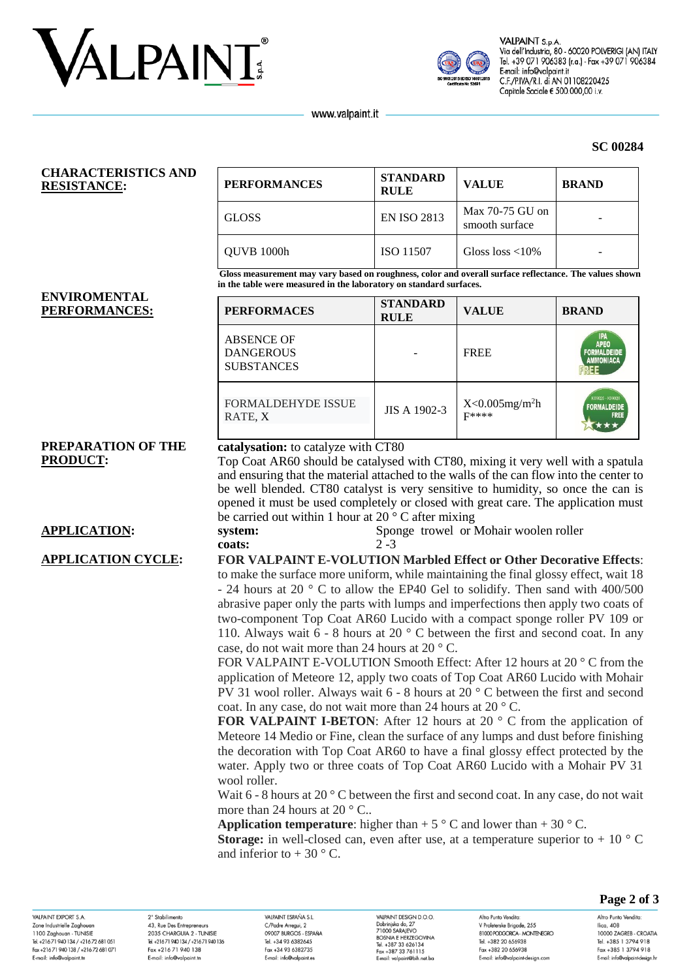



VALPAINT S.p.A Via dell'Industria, 80 - 60020 POLVERIGI (AN) ITALY Tel. +39 071 906383 (r.a.) - Fax +39 071 906384 E-mail: info@valpaint.it C.F./P.IVA/R.I. di AN 01108220425 Capitale Sociale € 500.000,00 i.v.

**SC 00284**

www.valpaint.it

### **CHARACTERISTICS AND RESISTANCE: PERFORMANCE:**

| PERFORMANCES | <b>STANDARD</b><br><b>RULE</b> | <b>VALUE</b>                      | <b>BRAND</b> |
|--------------|--------------------------------|-----------------------------------|--------------|
| GLOSS        | <b>EN ISO 2813</b>             | Max 70-75 GU on<br>smooth surface |              |
| QUVB 1000h   | ISO 11507                      | Gloss loss $\langle 10\%$         |              |

**Gloss measurement may vary based on roughness, color and overall surface reflectance. The values shown in the table were measured in the laboratory on standard surfaces.**

### **ENVIROMENTAL**   $PERFORMANCES:$

| <b>PERFORMACES</b>                                         | <b>STANDARD</b><br><b>RULE</b> | <b>VALUE</b>                              | <b>BRAND</b>                                                        |
|------------------------------------------------------------|--------------------------------|-------------------------------------------|---------------------------------------------------------------------|
| <b>ABSENCE OF</b><br><b>DANGEROUS</b><br><b>SUBSTANCES</b> |                                | <b>FREE</b>                               | <b>IPA</b><br><b>APEO</b><br><b>FORMALDEIDE</b><br><b>AMMONIACA</b> |
| <b>FORMALDEHYDE ISSUE</b><br>RATE, X                       | JIS A 1902-3                   | $X<0.005$ mg/m <sup>2</sup> h<br>$F$ **** | K09025 - K09026<br><b>FORMALDEIDE</b><br><b>FREE</b>                |

# **PREPARATION OF THE PRODUCT:**

# **catalysation:** to catalyze with CT80

Top Coat AR60 should be catalysed with CT80, mixing it very well with a spatula and ensuring that the material attached to the walls of the can flow into the center to be well blended. CT80 catalyst is very sensitive to humidity, so once the can is opened it must be used completely or closed with great care. The application must be carried out within 1 hour at  $20^{\circ}$  C after mixing

**APPLICATION: system:** Sponge trowel or Mohair woolen roller **coats:** 2 -3

### **APPLICATION CYCLE: FOR VALPAINT E-VOLUTION Marbled Effect or Other Decorative Effects**: to make the surface more uniform, while maintaining the final glossy effect, wait 18

- 24 hours at 20 ° C to allow the EP40 Gel to solidify. Then sand with 400/500 abrasive paper only the parts with lumps and imperfections then apply two coats of two-component Top Coat AR60 Lucido with a compact sponge roller PV 109 or 110. Always wait  $6 - 8$  hours at 20  $\degree$  C between the first and second coat. In any case, do not wait more than 24 hours at 20 ° C.

FOR VALPAINT E-VOLUTION Smooth Effect: After 12 hours at 20 ° C from the application of Meteore 12, apply two coats of Top Coat AR60 Lucido with Mohair PV 31 wool roller. Always wait 6 - 8 hours at 20 ° C between the first and second coat. In any case, do not wait more than 24 hours at 20 ° C.

**FOR VALPAINT I-BETON:** After 12 hours at 20 ° C from the application of Meteore 14 Medio or Fine, clean the surface of any lumps and dust before finishing the decoration with Top Coat AR60 to have a final glossy effect protected by the water. Apply two or three coats of Top Coat AR60 Lucido with a Mohair PV 31 wool roller.

Wait  $6 - 8$  hours at  $20^\circ$  C between the first and second coat. In any case, do not wait more than 24 hours at  $20^{\circ}$  C...

**Application temperature**: higher than  $+ 5 \degree$  C and lower than  $+ 30 \degree$  C.

**Storage:** in well-closed can, even after use, at a temperature superior to  $+10$  ° C and inferior to  $+30$  ° C.

VAI PAINT EYPORT & A Zone Industrielle Zaghoua 1100 Zaghouan - TUNISIE Theo Zagnoban - Torvisic<br>Tel. +216 71 940 134 / +216 72 681 051 Fax +216 71 940 138 / +216 72 681 071 E-mail: info@valpaint.tn

2° Stabilimento 43, Rue Des Entrepreneurs 2025 CHARCLILA 2 TUNISIE Tel. +216 71 940 134 / +216 71 940 136 Fax +216 71 940 138 E-mail: info@valpaint.tn

VAIRAINT ESPAÑA S I C/Padre Arregui, 2 OOOOZ BIJDCOS ESDAÑA Tel. +34 93 6382645 Fax +34 93 6382735 E-mail: info@valpaint.es

VAIRAINT DESIGN D O O VALPAINT DESIGN D.<br>Dobrinjska do, 27<br>71000 SARAJEVO<br>BOSNIA E HERZEGO Tel. +387 33 626134 Fax +387 33 761115 E-mail: valoaint@bib.net ba

Altro Punto Vendita V Proleterske Brigade, 255 **RIOOD PODGORICA - MONTENEGRO** Tel. +382 20 656938 Fax +382 20 656938 E-mail: info@valpaint-design.com

**Page 2 of 3**

Altro Punto Vendita: Ilica, 408 10000 ZAGREB - CROATIA Tel. +385 1 3794 918 Fax +385 1 3794 918 E-mail: info@valpaint-desian.hr